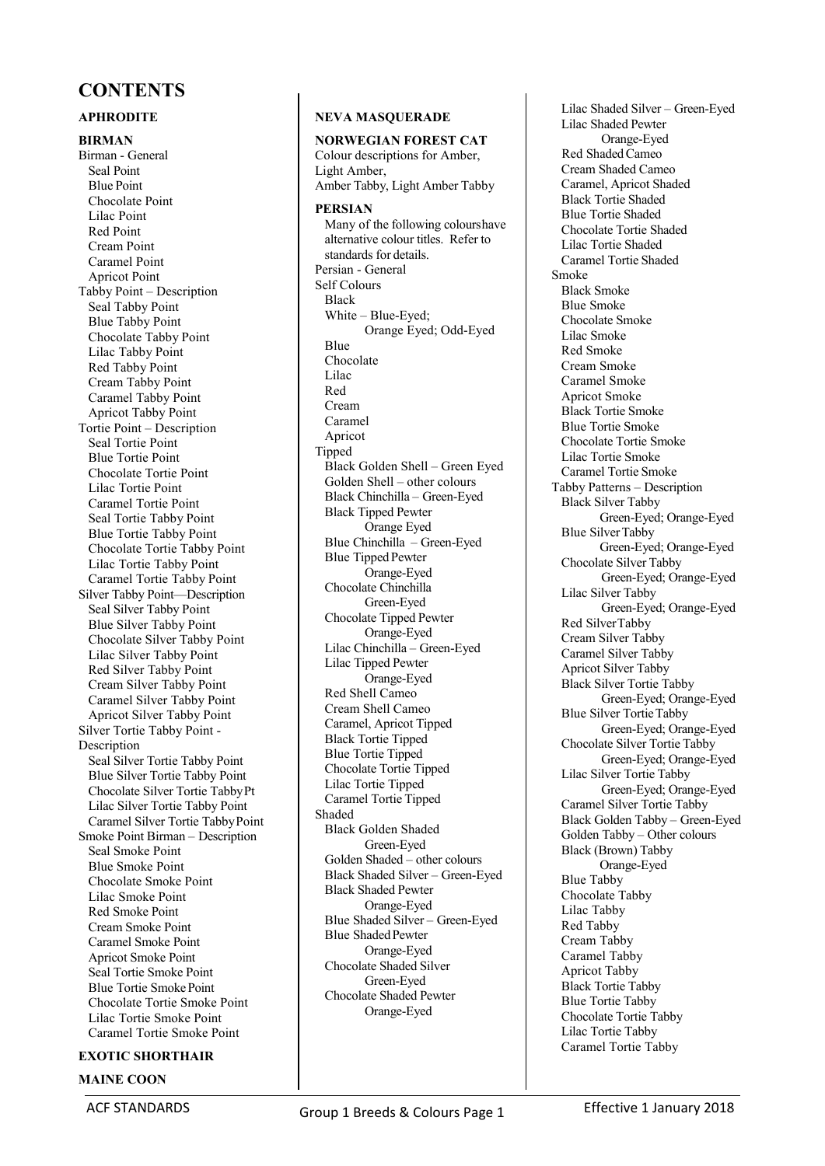# **CONTENTS**

### **APHRODITE**

**BIRMAN**  Birman - General Seal Point Blue Point Chocolate Point Lilac Point Red Point Cream Point Caramel Point Apricot Point Tabby Point – Description Seal Tabby Point Blue Tabby Point Chocolate Tabby Point Lilac Tabby Point Red Tabby Point Cream Tabby Point Caramel Tabby Point Apricot Tabby Point Tortie Point – Description Seal Tortie Point Blue Tortie Point Chocolate Tortie Point Lilac Tortie Point Caramel Tortie Point Seal Tortie Tabby Point Blue Tortie Tabby Point Chocolate Tortie Tabby Point Lilac Tortie Tabby Point Caramel Tortie Tabby Point Silver Tabby Point—Description Seal Silver Tabby Point Blue Silver Tabby Point Chocolate Silver Tabby Point Lilac Silver Tabby Point Red Silver Tabby Point Cream Silver Tabby Point Caramel Silver Tabby Point Apricot Silver Tabby Point Silver Tortie Tabby Point - Description Seal Silver Tortie Tabby Point Blue Silver Tortie Tabby Point Chocolate Silver Tortie Tabby Pt Lilac Silver Tortie Tabby Point Caramel Silver Tortie Tabby Point Smoke Point Birman – Description Seal Smoke Point Blue Smoke Point Chocolate Smoke Point Lilac Smoke Point Red Smoke Point Cream Smoke Point Caramel Smoke Point Apricot Smoke Point Seal Tortie Smoke Point Blue Tortie Smoke Point Chocolate Tortie Smoke Point Lilac Tortie Smoke Point Caramel Tortie Smoke Point

## **EXOTIC SHORTHAIR**

#### **MAINE COON**

### **NEVA MASQUERADE**

**NORWEGIAN FOREST CAT**  Colour descriptions for Amber, Light Amber, Amber Tabby, Light Amber Tabby **PERSIAN**  Many of the following colours have alternative colour titles. Refer to standards for details. Persian - General Self Colours Black White – Blue-Eyed; Orange Eyed; Odd-Eyed Blue Chocolate Lilac Red Cream Caramel Apricot Tipped Black Golden Shell – Green Eyed Golden Shell – other colours Black Chinchilla – Green-Eyed Black Tipped Pewter Orange Eyed Blue Chinchilla – Green-Eyed Blue Tipped Pewter Orange-Eyed Chocolate Chinchilla Green-Eyed Chocolate Tipped Pewter Orange-Eyed Lilac Chinchilla – Green-Eyed Lilac Tipped Pewter Orange-Eyed Red Shell Cameo Cream Shell Cameo Caramel, Apricot Tipped Black Tortie Tipped Blue Tortie Tipped Chocolate Tortie Tipped Lilac Tortie Tipped Caramel Tortie Tipped Shaded Black Golden Shaded Green-Eyed Golden Shaded – other colours Black Shaded Silver – Green-Eyed Black Shaded Pewter Orange-Eyed Blue Shaded Silver – Green-Eyed Blue Shaded Pewter Orange-Eyed Chocolate Shaded Silver Green-Eyed Chocolate Shaded Pewter Orange-Eyed

Lilac Shaded Silver – Green-Eyed Lilac Shaded Pewter Orange-Eyed Red Shaded Cameo Cream Shaded Cameo Caramel, Apricot Shaded Black Tortie Shaded Blue Tortie Shaded Chocolate Tortie Shaded Lilac Tortie Shaded Caramel Tortie Shaded Smoke Black Smoke Blue Smoke Chocolate Smoke Lilac Smoke Red Smoke Cream Smoke Caramel Smoke Apricot Smoke Black Tortie Smoke Blue Tortie Smoke Chocolate Tortie Smoke Lilac Tortie Smoke Caramel Tortie Smoke Tabby Patterns – Description Black Silver Tabby Green-Eyed; Orange-Eyed Blue Silver Tabby Green-Eyed; Orange-Eyed Chocolate Silver Tabby Green-Eyed; Orange-Eyed Lilac Silver Tabby Green-Eyed; Orange-Eyed Red Silver Tabby Cream Silver Tabby Caramel Silver Tabby Apricot Silver Tabby Black Silver Tortie Tabby Green-Eyed; Orange-Eyed Blue Silver Tortie Tabby Green-Eyed; Orange-Eyed Chocolate Silver Tortie Tabby Green-Eyed; Orange-Eyed Lilac Silver Tortie Tabby Green-Eyed; Orange-Eyed Caramel Silver Tortie Tabby Black Golden Tabby – Green-Eyed Golden Tabby – Other colours Black (Brown) Tabby Orange-Eyed Blue Tabby Chocolate Tabby Lilac Tabby Red Tabby Cream Tabby Caramel Tabby Apricot Tabby Black Tortie Tabby Blue Tortie Tabby Chocolate Tortie Tabby Lilac Tortie Tabby Caramel Tortie Tabby